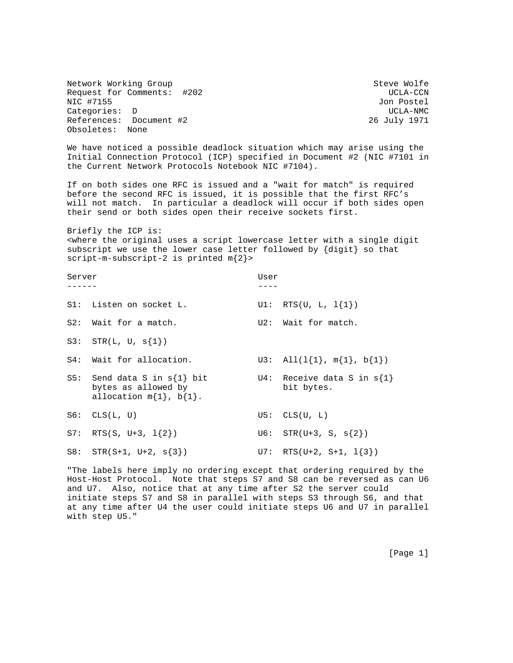Network Working Group Steve Wolfe Request for Comments: #202 UCLA-CCN NIC #7155 Jon Postel Categories: D UCLA-NMC References: Document #2 26 July 1971 Obsoletes: None

We have noticed a possible deadlock situation which may arise using the Initial Connection Protocol (ICP) specified in Document #2 (NIC #7101 in the Current Network Protocols Notebook NIC #7104).

If on both sides one RFC is issued and a "wait for match" is required before the second RFC is issued, it is possible that the first RFC's will not match. In particular a deadlock will occur if both sides open their send or both sides open their receive sockets first.

Briefly the ICP is: <where the original uses a script lowercase letter with a single digit subscript we use the lower case letter followed by {digit} so that script-m-subscript-2 is printed m{2}>

Server User ------ ---- S1: Listen on socket L.  $UI: \, RTS(U, L, 1{1})$ S2: Wait for a match. U2: Wait for match.  $S3:$   $STR(L, U, s{1})$ S4: Wait for allocation.  $U3: \quad \text{All}(1\{1\}, \quad m\{1\}, \quad b\{1\})$ S5: Send data S in s $\{1\}$  bit U4: Receive data S in s $\{1\}$ bytes as allowed by bit bytes. allocation  $m\{1\}$ ,  $b\{1\}$ .  $S6: CLS(L, U)$  U5:  $CLS(U, L)$ S7: RTS(S, U+3,  $1{2}$ ) U6: STR(U+3, S,  $s{2}$ ) S8:  $STR(S+1, U+2, s{3})$  U7:  $RTS(U+2, S+1, 1{3})$ 

"The labels here imply no ordering except that ordering required by the Host-Host Protocol. Note that steps S7 and S8 can be reversed as can U6 and U7. Also, notice that at any time after S2 the server could initiate steps S7 and S8 in parallel with steps S3 through S6, and that at any time after U4 the user could initiate steps U6 and U7 in parallel with step U5."

[Page 1]